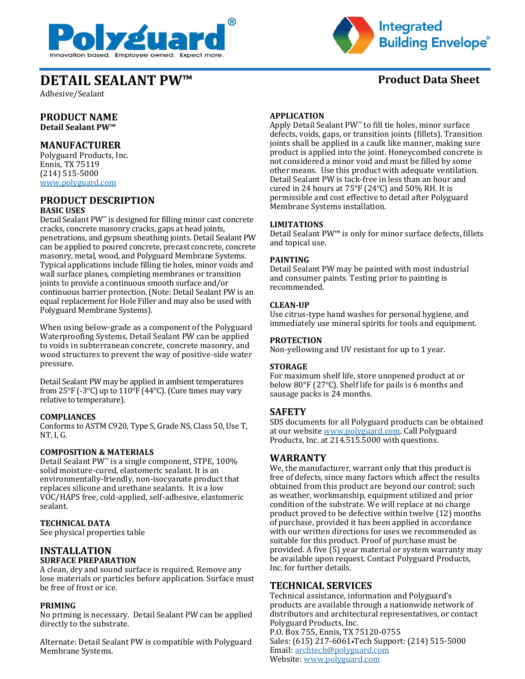



# **DETAIL SEALANT PW™** Product Data Sheet

Adhesive/Sealant

# **PRODUCT NAME**

**Detail Sealant PW™**

# **MANUFACTURER**

Polyguard Products, Inc. Ennis, TX 75119 (214) 515-5000 [www.polyguard.com](http://www.polyguard.com/)

## **PRODUCT DESCRIPTION BASIC USES**

Detail Sealant PW™ is designed for filling minor cast concrete cracks, concrete masonry cracks, gaps at head joints, penetrations, and gypsum sheathing joints. Detail Sealant PW can be applied to poured concrete, precast concrete, concrete masonry, metal, wood, and Polyguard Membrane Systems. Typical applications include filling tie holes, minor voids and wall surface planes, completing membranes or transition joints to provide a continuous smooth surface and/or continuous barrier protection. (Note: Detail Sealant PW is an equal replacement for Hole Filler and may also be used with Polyguard Membrane Systems).

When using below-grade as a component of the Polyguard Waterproofing Systems, Detail Sealant PW can be applied to voids in subterranean concrete, concrete masonry, and wood structures to prevent the way of positive-side water pressure.

Detail Sealant PW may be applied in ambient temperatures from 25°F (-3°C) up to  $110$ °F (44°C). (Cure times may vary relative to temperature).

## **COMPLIANCES**

Conforms to ASTM C920, Type S, Grade NS, Class 50, Use T, NT, I, G.

#### **COMPOSITION & MATERIALS**

Detail Sealant PW<sup>™</sup> is a single component, STPE, 100% solid moisture-cured, elastomeric sealant. It is an environmentally-friendly, non-isocyanate product that replaces silicone and urethane sealants. It is a low VOC/HAPS free, cold-applied, self-adhesive, elastomeric sealant.

## **TECHNICAL DATA**

See physical properties table

#### **INSTALLATION SURFACE PREPARATION**

A clean, dry and sound surface is required. Remove any lose materials or particles before application. Surface must be free of frost or ice.

#### **PRIMING**

No priming is necessary. Detail Sealant PW can be applied directly to the substrate.

Alternate: Detail Sealant PW is compatible with Polyguard Membrane Systems.

#### **APPLICATION**

Apply Detail Sealant PW™ to fill tie holes, minor surface defects, voids, gaps, or transition joints (fillets). Transition joints shall be applied in a caulk like manner, making sure product is applied into the joint. Honeycombed concrete is not considered a minor void and must be filled by some other means. Use this product with adequate ventilation. Detail Sealant PW is tack-free in less than an hour and cured in 24 hours at 75°F (24ºC) and 50% RH. It is permissible and cost effective to detail after Polyguard Membrane Systems installation.

#### **LIMITATIONS**

Detail Sealant PW™ is only for minor surface defects, fillets and topical use.

#### **PAINTING**

Detail Sealant PW may be painted with most industrial and consumer paints. Testing prior to painting is recommended.

#### **CLEAN-UP**

Use citrus-type hand washes for personal hygiene, and immediately use mineral spirits for tools and equipment.

#### **PROTECTION**

Non-yellowing and UV resistant for up to 1 year.

#### **STORAGE**

For maximum shelf life, store unopened product at or below 80°F (27ºC). Shelf life for pails is 6 months and sausage packs is 24 months.

## **SAFETY**

SDS documents for all Polyguard products can be obtained at our website [www.polyguard.com.](http://www.polyguard.com/) Call Polyguard Products, Inc. at 214.515.5000 with questions.

## **WARRANTY**

We, the manufacturer, warrant only that this product is free of defects, since many factors which affect the results obtained from this product are beyond our control; such as weather, workmanship, equipment utilized and prior condition of the substrate. We will replace at no charge product proved to be defective within twelve (12) months of purchase, provided it has been applied in accordance with our written directions for uses we recommended as suitable for this product. Proof of purchase must be provided. A five (5) year material or system warranty may be available upon request. Contact Polyguard Products, Inc. for further details.

## **TECHNICAL SERVICES**

Technical assistance, information and Polyguard's products are available through a nationwide network of distributors and architectural representatives, or contact Polyguard Products, Inc. P.O. Box 755, Ennis, TX 75120-0755 Sales: (615) 217-6061•Tech Support: (214) 515-5000 Email: [archtech@polyguard.com](mailto:archtech@polyguard.com) Website: [www.polyguard.com](http://www.polyguard.com/)